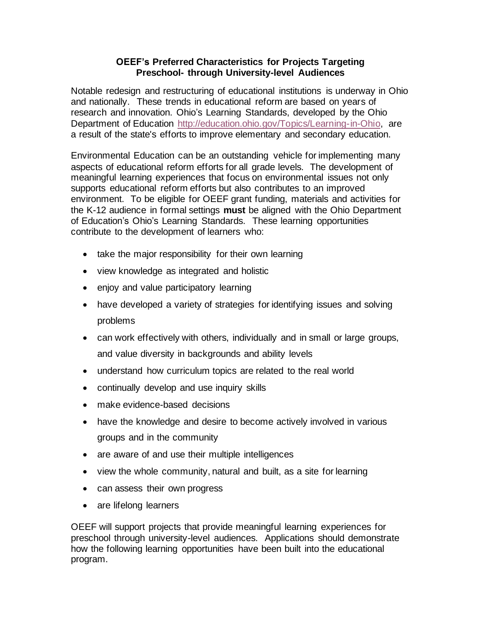## **OEEF's Preferred Characteristics for Projects Targeting Preschool- through University-level Audiences**

Notable redesign and restructuring of educational institutions is underway in Ohio and nationally. These trends in educational reform are based on years of research and innovation. Ohio's Learning Standards, developed by the Ohio Department of Education [http://education.ohio.gov/Topics/Learning-in-Ohio,](http://education.ohio.gov/Topics/Learning-in-Ohio) are a result of the state's efforts to improve elementary and secondary education.

Environmental Education can be an outstanding vehicle for implementing many aspects of educational reform efforts for all grade levels. The development of meaningful learning experiences that focus on environmental issues not only supports educational reform efforts but also contributes to an improved environment. To be eligible for OEEF grant funding, materials and activities for the K-12 audience in formal settings **must** be aligned with the Ohio Department of Education's Ohio's Learning Standards. These learning opportunities contribute to the development of learners who:

- take the major responsibility for their own learning
- view knowledge as integrated and holistic
- enjoy and value participatory learning
- have developed a variety of strategies for identifying issues and solving problems
- can work effectively with others, individually and in small or large groups, and value diversity in backgrounds and ability levels
- understand how curriculum topics are related to the real world
- continually develop and use inquiry skills
- make evidence-based decisions
- have the knowledge and desire to become actively involved in various groups and in the community
- are aware of and use their multiple intelligences
- view the whole community, natural and built, as a site for learning
- can assess their own progress
- are lifelong learners

OEEF will support projects that provide meaningful learning experiences for preschool through university-level audiences. Applications should demonstrate how the following learning opportunities have been built into the educational program.